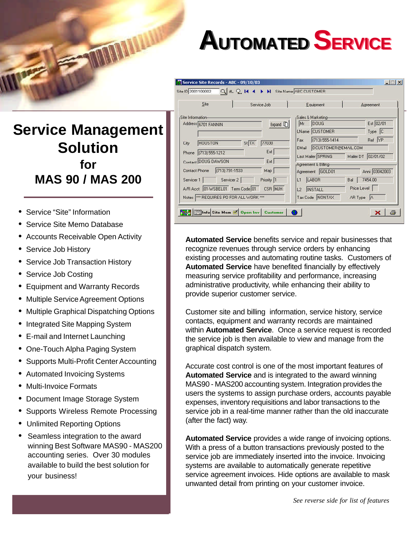## **AUTOMATED SERVICE**

## **Service Management Solution for MAS 90 / MAS 200**

**MONALDA** 

- Service "Site" Information
- Service Site Memo Database
- Accounts Receivable Open Activity
- Service Job History
- Service Job Transaction History
- Service Job Costing
- Equipment and Warranty Records
- Multiple Service Agreement Options
- Multiple Graphical Dispatching Options
- Integrated Site Mapping System
- E-mail and Internet Launching
- One-Touch Alpha Paging System
- Supports Multi-Profit Center Accounting
- Automated Invoicing Systems
- Multi-Invoice Formats
- Document Image Storage System
- Supports Wireless Remote Processing
- Unlimited Reporting Options
- Seamless integration to the award winning Best Software MAS90 - MAS200 accounting series. Over 30 modules available to build the best solution for your business!

| Site<br>Service Job                                                                                                              | Equipment                                                                                                                              | Agreement             |
|----------------------------------------------------------------------------------------------------------------------------------|----------------------------------------------------------------------------------------------------------------------------------------|-----------------------|
| Site Information<br>Address 6701 FANNIN<br>Expand [T]                                                                            | Sales & Marketing<br><b>DOUG</b><br>Mr<br>LName CUSTOMER                                                                               | Est 02/01<br>$Type C$ |
| St TX<br><b>HOUSTON</b><br>77030<br>City<br>Ext<br>(713) 555-1212<br>Phone<br>Contact DOUG DAWSON<br>Ext                         | Ref YP<br>(713) 555-1414<br>Fax<br>DCUSTOMER@EMAIL.COM<br>EMail<br>02/01/02<br>Last Mailer SPRING<br>Mailer DT<br>Agreement & Billing- |                       |
| $(713) 791 - 1533$<br>Contact Phone<br>Map                                                                                       | Agreement GOLD01                                                                                                                       | Anni 03042003         |
| Priority 1<br>Servicer 2<br>Servicer 1<br>CSR MJH<br>A/R Acct 01-WSBEL01 Term Code 01<br>Notes  *** REQUIRES PO FOR ALL WORK *** | LABOR<br>L1<br>Bal<br>Price Level<br>L2<br><b>INSTALL</b><br>Tax Code NONTAX<br>AR Type A                                              | 7454.00               |

**Automated Service** benefits service and repair businesses that recognize revenues through service orders by enhancing existing processes and automating routine tasks. Customers of **Automated Service** have benefited financially by effectively measuring service profitability and performance, increasing administrative productivity, while enhancing their ability to provide superior customer service.

Customer site and billing information, service history, service contacts, equipment and warranty records are maintained within **Automated Service**. Once a service request is recorded the service job is then available to view and manage from the graphical dispatch system.

Accurate cost control is one of the most important features of **Automated Service** and is integrated to the award winning MAS90 - MAS200 accounting system. Integration provides the users the systems to assign purchase orders, accounts payable expenses, inventory requisitions and labor transactions to the service job in a real-time manner rather than the old inaccurate (after the fact) way.

**Automated Service** provides a wide range of invoicing options. With a press of a button transactions previously posted to the service job are immediately inserted into the invoice. Invoicing systems are available to automatically generate repetitive service agreement invoices. Hide options are available to mask unwanted detail from printing on your customer invoice.